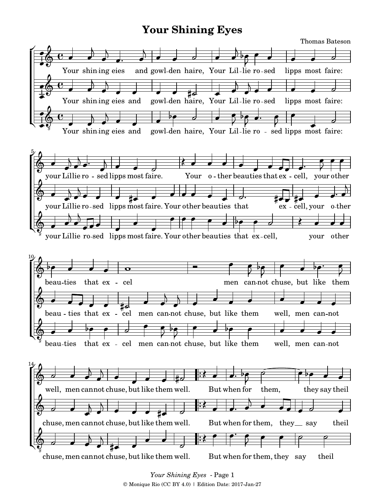## **Your Shining Eyes**